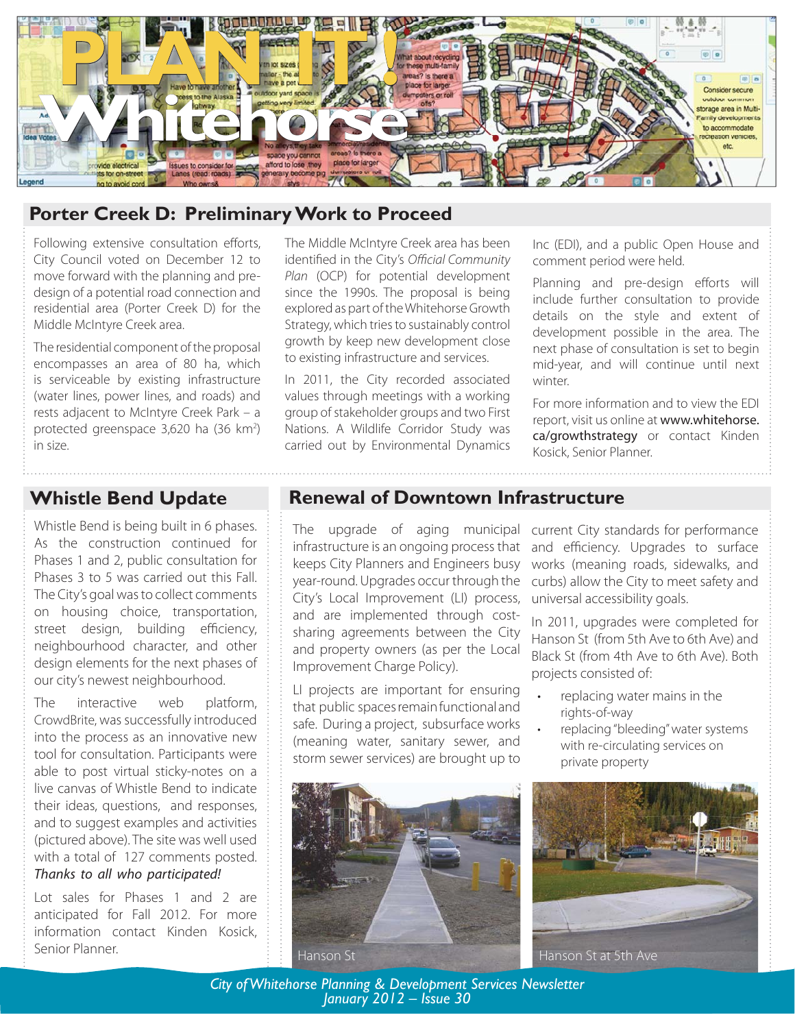

# **Porter Creek D: Preliminary Work to Proceed**

Following extensive consultation efforts, City Council voted on December 12 to move forward with the planning and predesign of a potential road connection and residential area (Porter Creek D) for the Middle McIntyre Creek area.

The residential component of the proposal encompasses an area of 80 ha, which is serviceable by existing infrastructure (water lines, power lines, and roads) and rests adjacent to McIntyre Creek Park – a protected greenspace 3,620 ha (36 km<sup>2</sup>) in size.

The Middle McIntyre Creek area has been identified in the City's Official Community Plan (OCP) for potential development since the 1990s. The proposal is being explored as part of the Whitehorse Growth Strategy, which tries to sustainably control growth by keep new development close to existing infrastructure and services.

In 2011, the City recorded associated values through meetings with a working group of stakeholder groups and two First Nations. A Wildlife Corridor Study was carried out by Environmental Dynamics

Inc (EDI), and a public Open House and comment period were held.

Planning and pre-design efforts will include further consultation to provide details on the style and extent of development possible in the area. The next phase of consultation is set to begin mid-year, and will continue until next winter.

For more information and to view the EDI report, visit us online at www.whitehorse. ca/growthstrategy or contact Kinden Kosick, Senior Planner.

# **Whistle Bend Update**

Whistle Bend is being built in 6 phases. As the construction continued for Phases 1 and 2, public consultation for Phases 3 to 5 was carried out this Fall. The City's goal was to collect comments on housing choice, transportation, street design, building efficiency, neighbourhood character, and other design elements for the next phases of our city's newest neighbourhood.

The interactive web platform, CrowdBrite, was successfully introduced into the process as an innovative new tool for consultation. Participants were able to post virtual sticky-notes on a live canvas of Whistle Bend to indicate their ideas, questions, and responses, and to suggest examples and activities (pictured above). The site was well used with a total of 127 comments posted.

### Thanks to all who participated!

Lot sales for Phases 1 and 2 are anticipated for Fall 2012. For more information contact Kinden Kosick,

## **Renewal of Downtown Infrastructure**

The upgrade of aging municipal infrastructure is an ongoing process that keeps City Planners and Engineers busy year-round. Upgrades occur through the City's Local Improvement (LI) process, and are implemented through costsharing agreements between the City and property owners (as per the Local Improvement Charge Policy).

LI projects are important for ensuring that public spaces remain functional and safe. During a project, subsurface works (meaning water, sanitary sewer, and storm sewer services) are brought up to current City standards for performance and efficiency. Upgrades to surface works (meaning roads, sidewalks, and curbs) allow the City to meet safety and universal accessibility goals.

In 2011, upgrades were completed for Hanson St (from 5th Ave to 6th Ave) and Black St (from 4th Ave to 6th Ave). Both projects consisted of:

- replacing water mains in the rights-of-way •
- replacing "bleeding" water systems with re-circulating services on private property •





*City of Whitehorse Planning & Development Services Newsletter January 2012 – Issue 30*